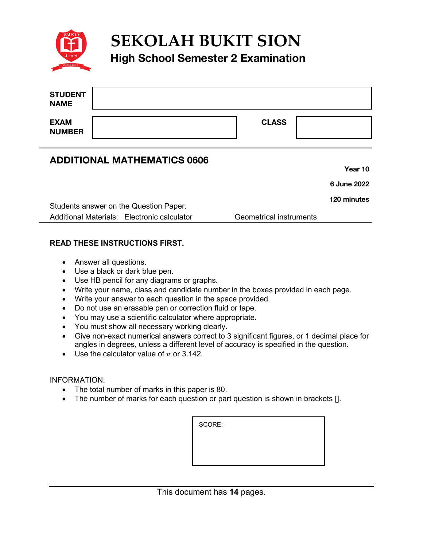

# **SEKOLAH BUKIT SION**

## **High School Semester 2 Examination**

| <b>STUDENT</b><br><b>NAME</b> |              |  |
|-------------------------------|--------------|--|
| <b>EXAM</b><br><b>NUMBER</b>  | <b>CLASS</b> |  |

### **ADDITIONAL MATHEMATICS 0606**

**Year 10**

**6 June 2022**

**120 minutes**

Students answer on the Question Paper. Additional Materials: Electronic calculator Geometrical instruments

#### **READ THESE INSTRUCTIONS FIRST.**

- Answer all questions.
- Use a black or dark blue pen.
- Use HB pencil for any diagrams or graphs.
- Write your name, class and candidate number in the boxes provided in each page.
- Write your answer to each question in the space provided.
- Do not use an erasable pen or correction fluid or tape.
- You may use a scientific calculator where appropriate.
- You must show all necessary working clearly.
- Give non-exact numerical answers correct to 3 significant figures, or 1 decimal place for angles in degrees, unless a different level of accuracy is specified in the question.
- Use the calculator value of  $\pi$  or 3.142.

#### INFORMATION:

- The total number of marks in this paper is 80.
- The number of marks for each question or part question is shown in brackets [].

SCORE: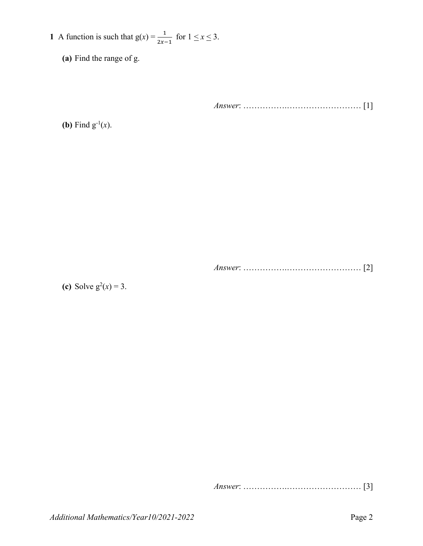- **1** A function is such that  $g(x) = \frac{1}{2x-1}$  for  $1 \le x \le 3$ .
	- **(a)** Find the range of g.

*Answer*: …………….……………………… [1]

**(b)** Find  $g^{-1}(x)$ .

*Answer*: …………….……………………… [2]

(c) Solve  $g^2(x) = 3$ .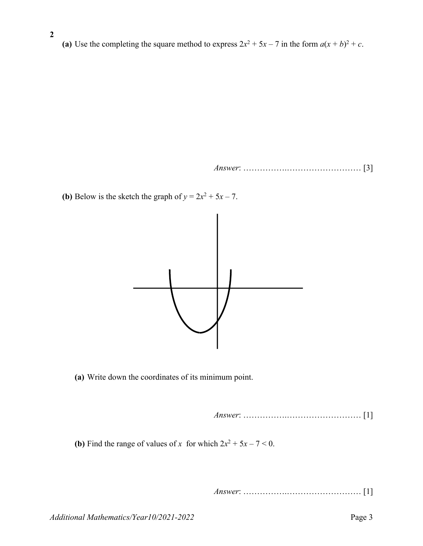(a) Use the completing the square method to express  $2x^2 + 5x - 7$  in the form  $a(x + b)^2 + c$ .

*Answer*: …………….……………………… [3]

**(b)** Below is the sketch the graph of  $y = 2x^2 + 5x - 7$ .

**2** 



**(a)** Write down the coordinates of its minimum point.

*Answer*: …………….……………………… [1]

**(b)** Find the range of values of *x* for which  $2x^2 + 5x - 7 < 0$ .

*Answer*: …………….……………………… [1]

*Additional Mathematics/Year10/2021-2022* Page 3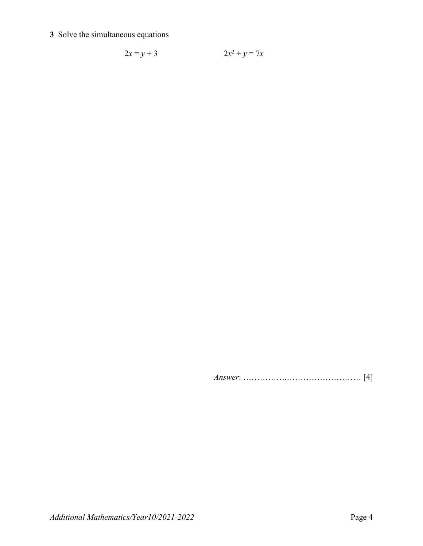#### **3** Solve the simultaneous equations

$$
2x = y + 3 \t 2x^2 + y = 7x
$$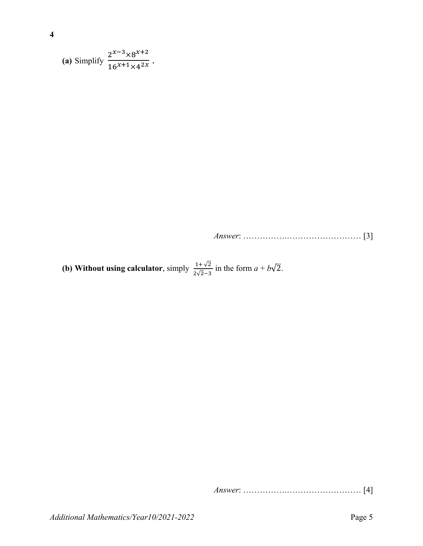(a) Simplify 
$$
\frac{2^{x-3} \times 8^{x+2}}{16^{x+1} \times 4^{2x}}
$$
.

*Answer*: …………….……………………… [3]

**(b) Without using calculator**, simply  $\frac{1+\sqrt{2}}{2\sqrt{2}-3}$  in the form  $a+b\sqrt{2}$ .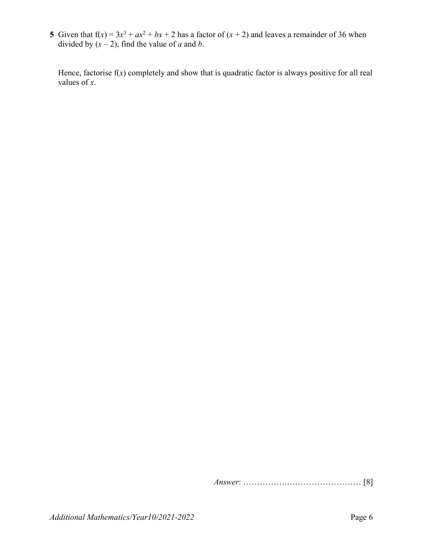**5** Given that  $f(x) = 3x^3 + ax^2 + bx + 2$  has a factor of  $(x + 2)$  and leaves a remainder of 36 when divided by  $(x - 2)$ , find the value of *a* and *b*.

 Hence, factorise f(*x*) completely and show that is quadratic factor is always positive for all real values of *x*.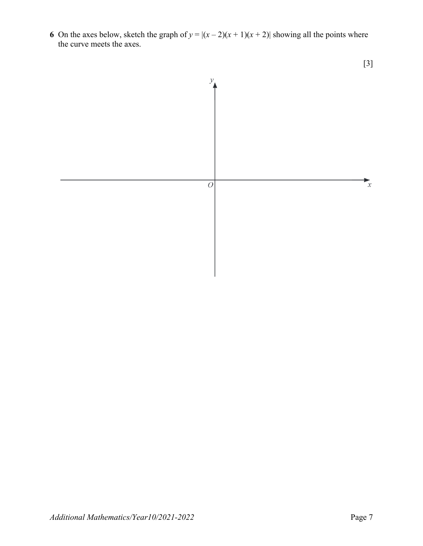**6** On the axes below, sketch the graph of  $y = |(x-2)(x+1)(x+2)|$  showing all the points where the curve meets the axes.

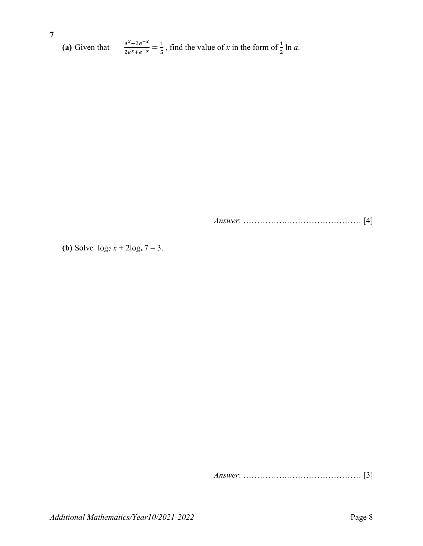**7 (a)** Given that  $\frac{e^{x}-2e^{-x}}{2e^{x}+e^{-x}} = \frac{1}{5}$ , find the value of *x* in the form of  $\frac{1}{2}$  ln *a*.

*Answer*: …………….……………………… [4]

**(b)** Solve  $\log_7 x + 2\log_x 7 = 3$ .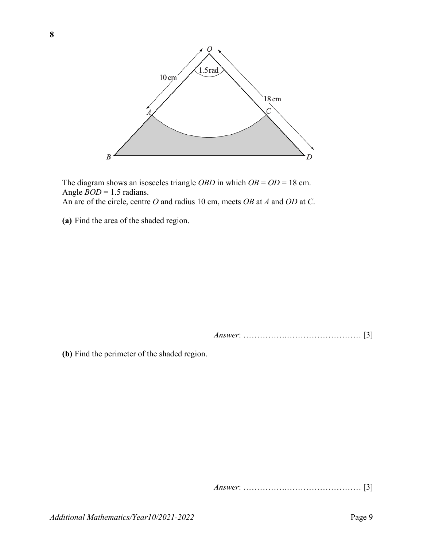

The diagram shows an isosceles triangle *OBD* in which *OB* = *OD* = 18 cm. Angle *BOD* = 1.5 radians. An arc of the circle, centre *O* and radius 10 cm, meets *OB* at *A* and *OD* at *C*.

**(a)** Find the area of the shaded region.

*Answer*: …………….……………………… [3]

**(b)** Find the perimeter of the shaded region.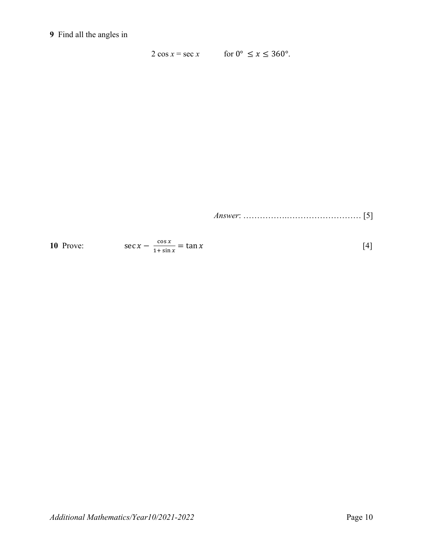#### **9** Find all the angles in

2 cos  $x = \sec x$  for  $0^{\circ} \le x \le 360^{\circ}$ .

| 10 Prove: | $\cos x$<br>$=$ tan x<br>$\sec x$<br>$1+ \sin x$ | [4] |
|-----------|--------------------------------------------------|-----|
|-----------|--------------------------------------------------|-----|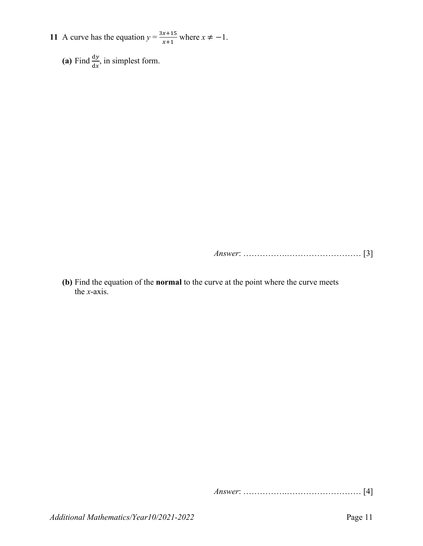- **11** A curve has the equation  $y = \frac{3x+15}{x+4}$  $\frac{x+13}{x+1}$  where  $x \neq -1$ .
	- (a) Find  $\frac{dy}{dx}$ , in simplest form.

*Answer*: …………….……………………… [3]

**(b)** Find the equation of the **normal** to the curve at the point where the curve meets the *x*-axis.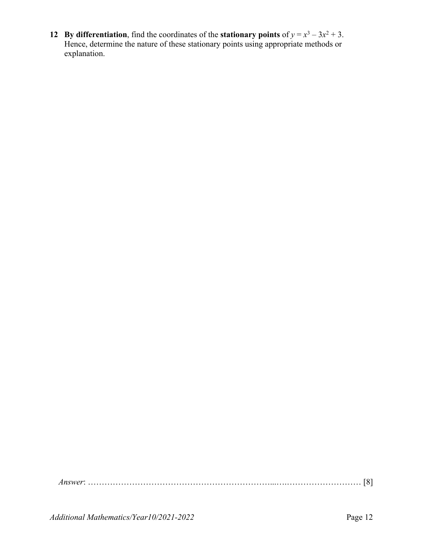**12 By differentiation**, find the coordinates of the **stationary points** of  $y = x^3 - 3x^2 + 3$ . Hence, determine the nature of these stationary points using appropriate methods or explanation.

*Answer*: …………………………………………………………...….……………………… [8]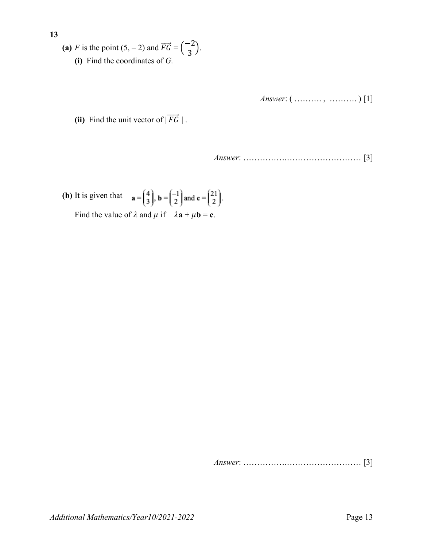(a) *F* is the point  $(5, -2)$  and  $\overrightarrow{FG} = \begin{pmatrix} -2 \\ 3 \end{pmatrix}$ . **(i)** Find the coordinates of *G.*

*Answer*: ( ………. , ………. ) [1]

(ii) Find the unit vector of  $|\overrightarrow{FG}|$ .

*Answer*: …………….……………………… [3]

**(b)** It is given that  $\mathbf{a} = \begin{pmatrix} 4 \\ 3 \end{pmatrix}$ ,  $\mathbf{b} = \begin{pmatrix} -1 \\ 2 \end{pmatrix}$  and  $\mathbf{c} = \begin{pmatrix} 21 \\ 2 \end{pmatrix}$ .

Find the value of  $\lambda$  and  $\mu$  if  $\lambda$ **a** +  $\mu$ **b** = **c**.